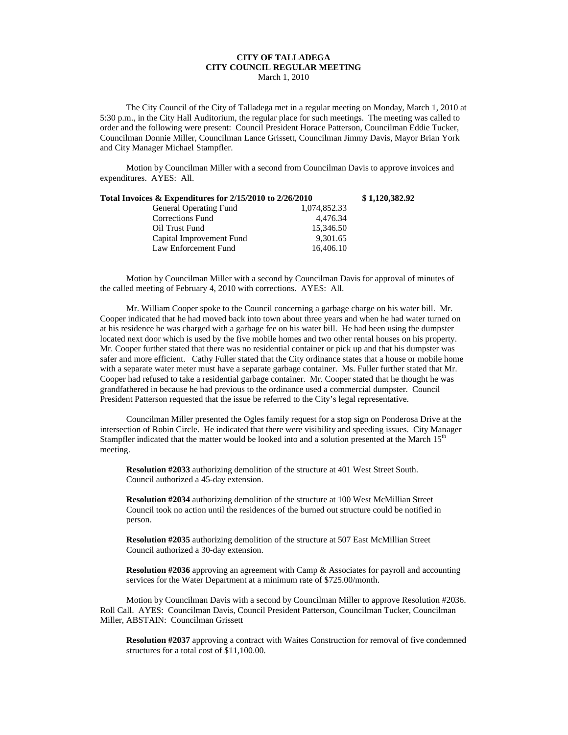## **CITY OF TALLADEGA CITY COUNCIL REGULAR MEETING** March 1, 2010

The City Council of the City of Talladega met in a regular meeting on Monday, March 1, 2010 at 5:30 p.m., in the City Hall Auditorium, the regular place for such meetings. The meeting was called to order and the following were present: Council President Horace Patterson, Councilman Eddie Tucker, Councilman Donnie Miller, Councilman Lance Grissett, Councilman Jimmy Davis, Mayor Brian York and City Manager Michael Stampfler.

Motion by Councilman Miller with a second from Councilman Davis to approve invoices and expenditures. AYES: All.

| Total Invoices & Expenditures for 2/15/2010 to 2/26/2010 |              | \$1,120,382.92 |
|----------------------------------------------------------|--------------|----------------|
| <b>General Operating Fund</b>                            | 1,074,852.33 |                |
| Corrections Fund                                         | 4.476.34     |                |
| Oil Trust Fund                                           | 15.346.50    |                |
| Capital Improvement Fund                                 | 9,301.65     |                |
| Law Enforcement Fund                                     | 16,406.10    |                |

Motion by Councilman Miller with a second by Councilman Davis for approval of minutes of the called meeting of February 4, 2010 with corrections. AYES: All.

Mr. William Cooper spoke to the Council concerning a garbage charge on his water bill. Mr. Cooper indicated that he had moved back into town about three years and when he had water turned on at his residence he was charged with a garbage fee on his water bill. He had been using the dumpster located next door which is used by the five mobile homes and two other rental houses on his property. Mr. Cooper further stated that there was no residential container or pick up and that his dumpster was safer and more efficient. Cathy Fuller stated that the City ordinance states that a house or mobile home with a separate water meter must have a separate garbage container. Ms. Fuller further stated that Mr. Cooper had refused to take a residential garbage container. Mr. Cooper stated that he thought he was grandfathered in because he had previous to the ordinance used a commercial dumpster. Council President Patterson requested that the issue be referred to the City's legal representative.

Councilman Miller presented the Ogles family request for a stop sign on Ponderosa Drive at the intersection of Robin Circle. He indicated that there were visibility and speeding issues. City Manager Stampfler indicated that the matter would be looked into and a solution presented at the March 15<sup>th</sup> meeting.

**Resolution #2033** authorizing demolition of the structure at 401 West Street South. Council authorized a 45-day extension.

**Resolution #2034** authorizing demolition of the structure at 100 West McMillian Street Council took no action until the residences of the burned out structure could be notified in person.

**Resolution #2035** authorizing demolition of the structure at 507 East McMillian Street Council authorized a 30-day extension.

**Resolution #2036** approving an agreement with Camp & Associates for payroll and accounting services for the Water Department at a minimum rate of \$725.00/month.

Motion by Councilman Davis with a second by Councilman Miller to approve Resolution #2036. Roll Call. AYES: Councilman Davis, Council President Patterson, Councilman Tucker, Councilman Miller, ABSTAIN: Councilman Grissett

**Resolution #2037** approving a contract with Waites Construction for removal of five condemned structures for a total cost of \$11,100.00.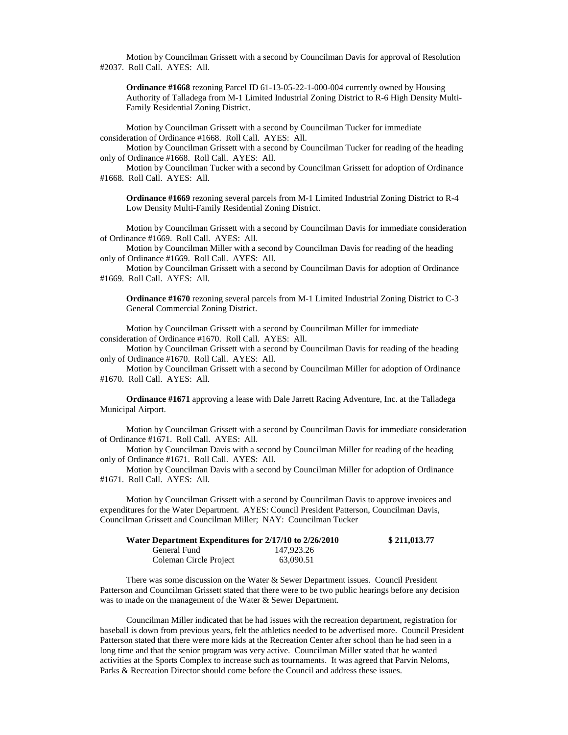Motion by Councilman Grissett with a second by Councilman Davis for approval of Resolution #2037. Roll Call. AYES: All.

**Ordinance #1668** rezoning Parcel ID 61-13-05-22-1-000-004 currently owned by Housing Authority of Talladega from M-1 Limited Industrial Zoning District to R-6 High Density Multi-Family Residential Zoning District.

Motion by Councilman Grissett with a second by Councilman Tucker for immediate consideration of Ordinance #1668. Roll Call. AYES: All.

Motion by Councilman Grissett with a second by Councilman Tucker for reading of the heading only of Ordinance #1668. Roll Call. AYES: All.

Motion by Councilman Tucker with a second by Councilman Grissett for adoption of Ordinance #1668. Roll Call. AYES: All.

**Ordinance #1669** rezoning several parcels from M-1 Limited Industrial Zoning District to R-4 Low Density Multi-Family Residential Zoning District.

Motion by Councilman Grissett with a second by Councilman Davis for immediate consideration of Ordinance #1669. Roll Call. AYES: All.

Motion by Councilman Miller with a second by Councilman Davis for reading of the heading only of Ordinance #1669. Roll Call. AYES: All.

Motion by Councilman Grissett with a second by Councilman Davis for adoption of Ordinance #1669. Roll Call. AYES: All.

**Ordinance #1670** rezoning several parcels from M-1 Limited Industrial Zoning District to C-3 General Commercial Zoning District.

Motion by Councilman Grissett with a second by Councilman Miller for immediate consideration of Ordinance #1670. Roll Call. AYES: All.

Motion by Councilman Grissett with a second by Councilman Davis for reading of the heading only of Ordinance #1670. Roll Call. AYES: All.

Motion by Councilman Grissett with a second by Councilman Miller for adoption of Ordinance #1670. Roll Call. AYES: All.

**Ordinance #1671** approving a lease with Dale Jarrett Racing Adventure, Inc. at the Talladega Municipal Airport.

Motion by Councilman Grissett with a second by Councilman Davis for immediate consideration of Ordinance #1671. Roll Call. AYES: All.

Motion by Councilman Davis with a second by Councilman Miller for reading of the heading only of Ordinance #1671. Roll Call. AYES: All.

Motion by Councilman Davis with a second by Councilman Miller for adoption of Ordinance #1671. Roll Call. AYES: All.

Motion by Councilman Grissett with a second by Councilman Davis to approve invoices and expenditures for the Water Department. AYES: Council President Patterson, Councilman Davis, Councilman Grissett and Councilman Miller; NAY: Councilman Tucker

| Water Department Expenditures for 2/17/10 to 2/26/2010 |            | \$211,013.77 |
|--------------------------------------------------------|------------|--------------|
| General Fund                                           | 147.923.26 |              |
| Coleman Circle Project                                 | 63,090.51  |              |

There was some discussion on the Water & Sewer Department issues. Council President Patterson and Councilman Grissett stated that there were to be two public hearings before any decision was to made on the management of the Water & Sewer Department.

Councilman Miller indicated that he had issues with the recreation department, registration for baseball is down from previous years, felt the athletics needed to be advertised more. Council President Patterson stated that there were more kids at the Recreation Center after school than he had seen in a long time and that the senior program was very active. Councilman Miller stated that he wanted activities at the Sports Complex to increase such as tournaments. It was agreed that Parvin Neloms, Parks & Recreation Director should come before the Council and address these issues.